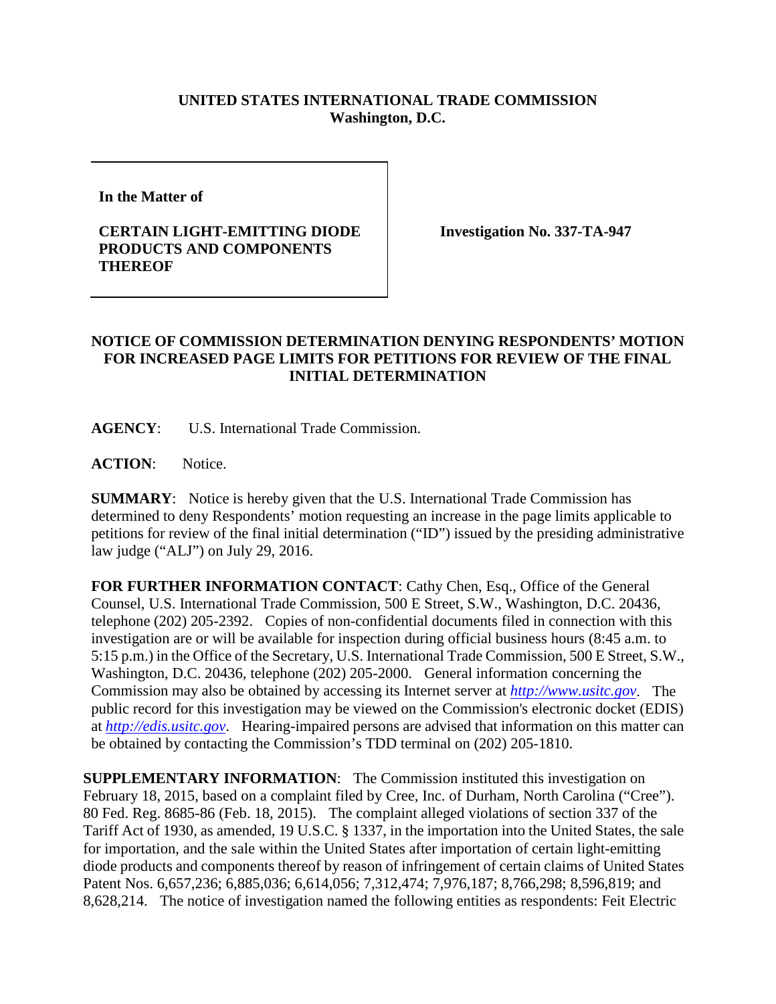## **UNITED STATES INTERNATIONAL TRADE COMMISSION Washington, D.C.**

**In the Matter of** 

## **CERTAIN LIGHT-EMITTING DIODE PRODUCTS AND COMPONENTS THEREOF**

**Investigation No. 337-TA-947**

## **NOTICE OF COMMISSION DETERMINATION DENYING RESPONDENTS' MOTION FOR INCREASED PAGE LIMITS FOR PETITIONS FOR REVIEW OF THE FINAL INITIAL DETERMINATION**

**AGENCY**: U.S. International Trade Commission.

**ACTION**: Notice.

**SUMMARY**: Notice is hereby given that the U.S. International Trade Commission has determined to deny Respondents' motion requesting an increase in the page limits applicable to petitions for review of the final initial determination ("ID") issued by the presiding administrative law judge ("ALJ") on July 29, 2016.

**FOR FURTHER INFORMATION CONTACT**: Cathy Chen, Esq., Office of the General Counsel, U.S. International Trade Commission, 500 E Street, S.W., Washington, D.C. 20436, telephone (202) 205-2392. Copies of non-confidential documents filed in connection with this investigation are or will be available for inspection during official business hours (8:45 a.m. to 5:15 p.m.) in the Office of the Secretary, U.S. International Trade Commission, 500 E Street, S.W., Washington, D.C. 20436, telephone (202) 205-2000. General information concerning the Commission may also be obtained by accessing its Internet server at *[http://www.usitc.gov](http://www.usitc.gov/)*. The public record for this investigation may be viewed on the Commission's electronic docket (EDIS) at *[http://edis.usitc.gov](http://edis.usitc.gov/)*. Hearing-impaired persons are advised that information on this matter can be obtained by contacting the Commission's TDD terminal on (202) 205-1810.

**SUPPLEMENTARY INFORMATION:** The Commission instituted this investigation on February 18, 2015, based on a complaint filed by Cree, Inc. of Durham, North Carolina ("Cree"). 80 Fed. Reg. 8685-86 (Feb. 18, 2015). The complaint alleged violations of section 337 of the Tariff Act of 1930, as amended, 19 U.S.C. § 1337, in the importation into the United States, the sale for importation, and the sale within the United States after importation of certain light-emitting diode products and components thereof by reason of infringement of certain claims of United States Patent Nos. 6,657,236; 6,885,036; 6,614,056; 7,312,474; 7,976,187; 8,766,298; 8,596,819; and 8,628,214. The notice of investigation named the following entities as respondents: Feit Electric